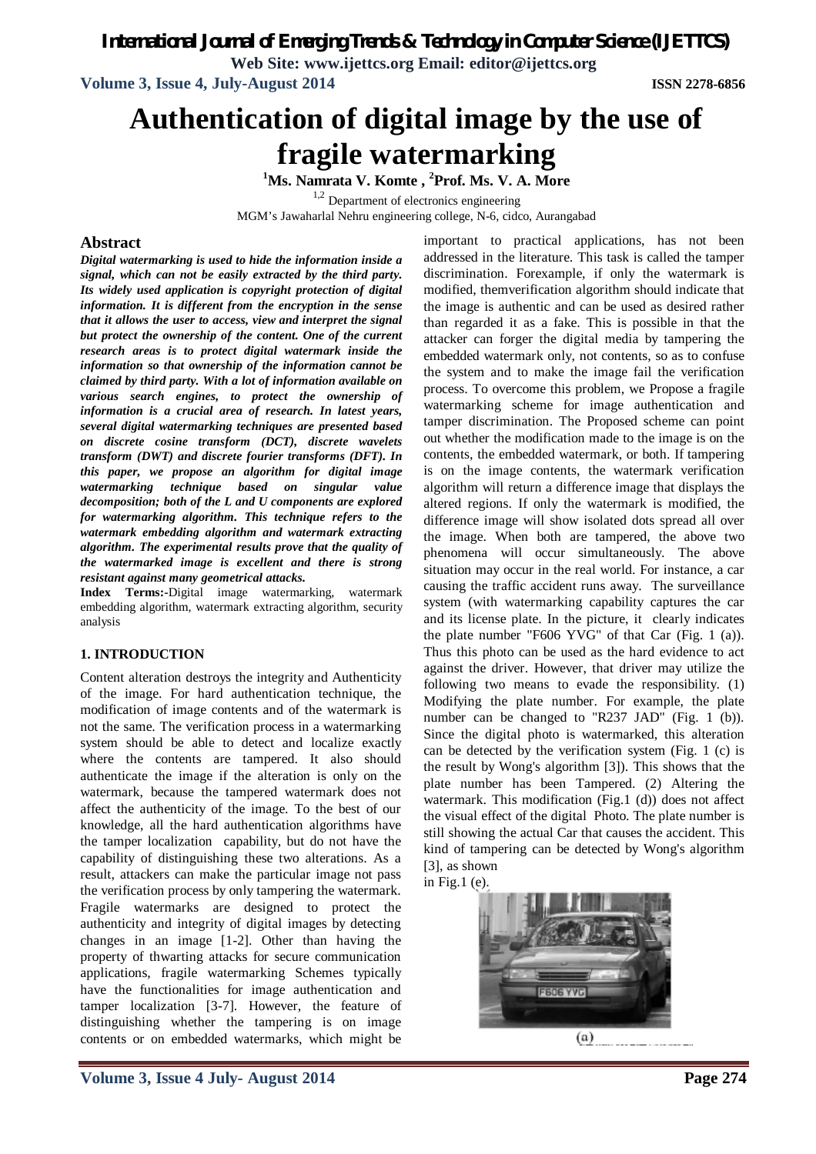*International Journal of Emerging Trends & Technology in Computer Science (IJETTCS)*

**Web Site: www.ijettcs.org Email: editor@ijettcs.org**

**Volume 3, Issue 4, July-August 2014 ISSN 2278-6856**

# **Authentication of digital image by the use of fragile watermarking**

**<sup>1</sup>Ms. Namrata V. Komte , <sup>2</sup>Prof. Ms. V. A. More**

<sup>1,2</sup> Department of electronics engineering MGM's Jawaharlal Nehru engineering college, N-6, cidco, Aurangabad

# **Abstract**

*Digital watermarking is used to hide the information inside a signal, which can not be easily extracted by the third party. Its widely used application is copyright protection of digital information. It is different from the encryption in the sense that it allows the user to access, view and interpret the signal but protect the ownership of the content. One of the current research areas is to protect digital watermark inside the information so that ownership of the information cannot be claimed by third party. With a lot of information available on various search engines, to protect the ownership of information is a crucial area of research. In latest years, several digital watermarking techniques are presented based on discrete cosine transform (DCT), discrete wavelets transform (DWT) and discrete fourier transforms (DFT). In this paper, we propose an algorithm for digital image watermarking technique based on singular value decomposition; both of the L and U components are explored for watermarking algorithm. This technique refers to the watermark embedding algorithm and watermark extracting algorithm. The experimental results prove that the quality of the watermarked image is excellent and there is strong resistant against many geometrical attacks.* 

**Index Terms:-**Digital image watermarking, watermark embedding algorithm, watermark extracting algorithm, security analysis

### **1. INTRODUCTION**

Content alteration destroys the integrity and Authenticity of the image. For hard authentication technique, the modification of image contents and of the watermark is not the same. The verification process in a watermarking system should be able to detect and localize exactly where the contents are tampered. It also should authenticate the image if the alteration is only on the watermark, because the tampered watermark does not affect the authenticity of the image. To the best of our knowledge, all the hard authentication algorithms have the tamper localization capability, but do not have the capability of distinguishing these two alterations. As a result, attackers can make the particular image not pass the verification process by only tampering the watermark. Fragile watermarks are designed to protect the authenticity and integrity of digital images by detecting changes in an image [1-2]. Other than having the property of thwarting attacks for secure communication applications, fragile watermarking Schemes typically have the functionalities for image authentication and tamper localization [3-7]. However, the feature of distinguishing whether the tampering is on image contents or on embedded watermarks, which might be

**Volume 3, Issue 4 July- August 2014 Page 274**

important to practical applications, has not been addressed in the literature. This task is called the tamper discrimination. Forexample, if only the watermark is modified, themverification algorithm should indicate that the image is authentic and can be used as desired rather than regarded it as a fake. This is possible in that the attacker can forger the digital media by tampering the embedded watermark only, not contents, so as to confuse the system and to make the image fail the verification process. To overcome this problem, we Propose a fragile watermarking scheme for image authentication and tamper discrimination. The Proposed scheme can point out whether the modification made to the image is on the contents, the embedded watermark, or both. If tampering is on the image contents, the watermark verification algorithm will return a difference image that displays the altered regions. If only the watermark is modified, the difference image will show isolated dots spread all over the image. When both are tampered, the above two phenomena will occur simultaneously. The above situation may occur in the real world. For instance, a car causing the traffic accident runs away. The surveillance system (with watermarking capability captures the car and its license plate. In the picture, it clearly indicates the plate number "F606 YVG" of that Car (Fig. 1 (a)). Thus this photo can be used as the hard evidence to act against the driver. However, that driver may utilize the following two means to evade the responsibility. (1) Modifying the plate number. For example, the plate number can be changed to "R237 JAD" (Fig. 1 (b)). Since the digital photo is watermarked, this alteration can be detected by the verification system (Fig. 1 (c) is the result by Wong's algorithm [3]). This shows that the plate number has been Tampered. (2) Altering the watermark. This modification (Fig.1 (d)) does not affect the visual effect of the digital Photo. The plate number is still showing the actual Car that causes the accident. This kind of tampering can be detected by Wong's algorithm [3], as shown

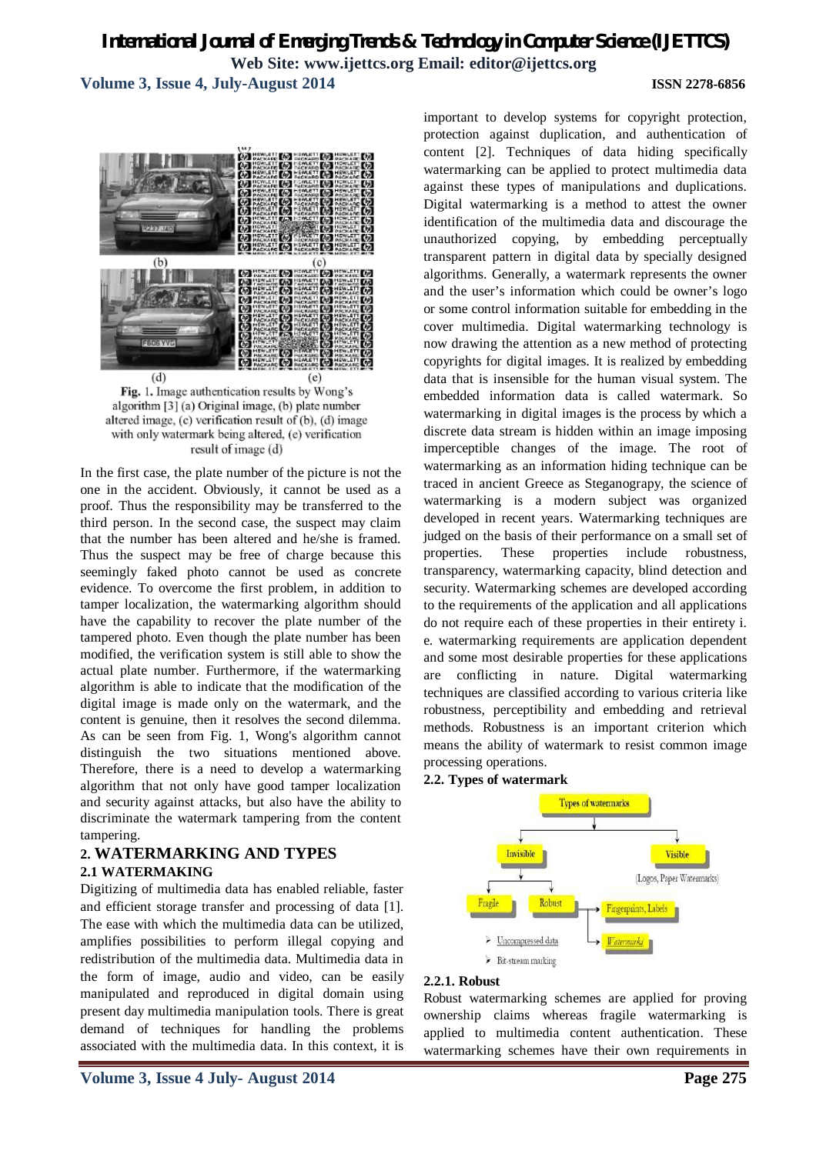**Volume 3, Issue 4, July-August 2014 ISSN 2278-6856**



Fig. 1. Image authentication results by Wong's algorithm [3] (a) Original image, (b) plate number altered image, (c) verification result of (b), (d) image with only watermark being altered, (e) verification result of image (d)

In the first case, the plate number of the picture is not the one in the accident. Obviously, it cannot be used as a proof. Thus the responsibility may be transferred to the third person. In the second case, the suspect may claim that the number has been altered and he/she is framed. Thus the suspect may be free of charge because this seemingly faked photo cannot be used as concrete evidence. To overcome the first problem, in addition to tamper localization, the watermarking algorithm should have the capability to recover the plate number of the tampered photo. Even though the plate number has been modified, the verification system is still able to show the actual plate number. Furthermore, if the watermarking algorithm is able to indicate that the modification of the digital image is made only on the watermark, and the content is genuine, then it resolves the second dilemma. As can be seen from Fig. 1, Wong's algorithm cannot distinguish the two situations mentioned above. Therefore, there is a need to develop a watermarking algorithm that not only have good tamper localization and security against attacks, but also have the ability to discriminate the watermark tampering from the content tampering.

## **2. WATERMARKING AND TYPES 2.1 WATERMAKING**

Digitizing of multimedia data has enabled reliable, faster and efficient storage transfer and processing of data [1]. The ease with which the multimedia data can be utilized, amplifies possibilities to perform illegal copying and redistribution of the multimedia data. Multimedia data in the form of image, audio and video, can be easily manipulated and reproduced in digital domain using present day multimedia manipulation tools. There is great demand of techniques for handling the problems associated with the multimedia data. In this context, it is

important to develop systems for copyright protection, protection against duplication, and authentication of content [2]. Techniques of data hiding specifically watermarking can be applied to protect multimedia data against these types of manipulations and duplications. Digital watermarking is a method to attest the owner identification of the multimedia data and discourage the unauthorized copying, by embedding perceptually transparent pattern in digital data by specially designed algorithms. Generally, a watermark represents the owner and the user's information which could be owner's logo or some control information suitable for embedding in the cover multimedia. Digital watermarking technology is now drawing the attention as a new method of protecting copyrights for digital images. It is realized by embedding data that is insensible for the human visual system. The embedded information data is called watermark. So watermarking in digital images is the process by which a discrete data stream is hidden within an image imposing imperceptible changes of the image. The root of watermarking as an information hiding technique can be traced in ancient Greece as Steganograpy, the science of watermarking is a modern subject was organized developed in recent years. Watermarking techniques are judged on the basis of their performance on a small set of properties. These properties include robustness, transparency, watermarking capacity, blind detection and security. Watermarking schemes are developed according to the requirements of the application and all applications do not require each of these properties in their entirety i. e. watermarking requirements are application dependent and some most desirable properties for these applications are conflicting in nature. Digital watermarking techniques are classified according to various criteria like robustness, perceptibility and embedding and retrieval methods. Robustness is an important criterion which means the ability of watermark to resist common image processing operations.

### **2.2. Types of watermark**



### **2.2.1. Robust**

Robust watermarking schemes are applied for proving ownership claims whereas fragile watermarking is applied to multimedia content authentication. These watermarking schemes have their own requirements in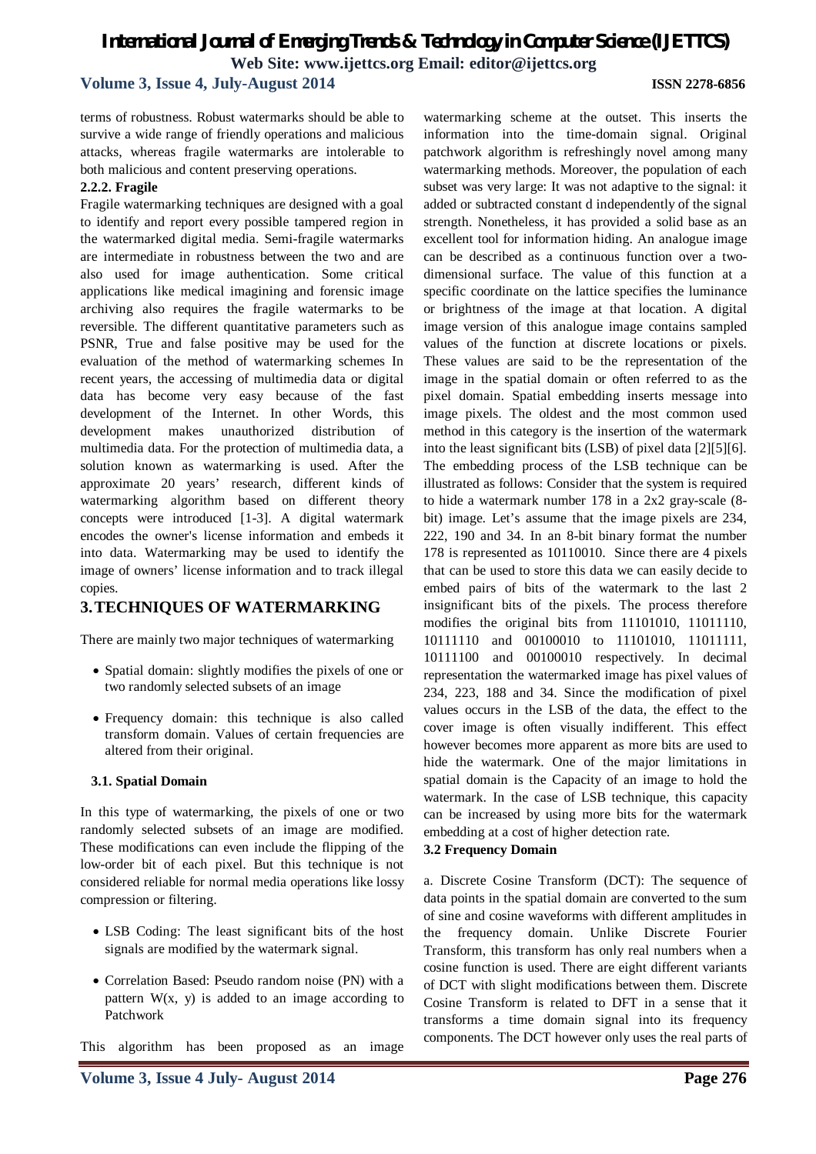## **Volume 3, Issue 4, July-August 2014 ISSN 2278-6856**

terms of robustness. Robust watermarks should be able to survive a wide range of friendly operations and malicious attacks, whereas fragile watermarks are intolerable to both malicious and content preserving operations.

### **2.2.2. Fragile**

Fragile watermarking techniques are designed with a goal to identify and report every possible tampered region in the watermarked digital media. Semi-fragile watermarks are intermediate in robustness between the two and are also used for image authentication. Some critical applications like medical imagining and forensic image archiving also requires the fragile watermarks to be reversible. The different quantitative parameters such as PSNR, True and false positive may be used for the evaluation of the method of watermarking schemes In recent years, the accessing of multimedia data or digital data has become very easy because of the fast development of the Internet. In other Words, this development makes unauthorized distribution of multimedia data. For the protection of multimedia data, a solution known as watermarking is used. After the approximate 20 years' research, different kinds of watermarking algorithm based on different theory concepts were introduced [1-3]. A digital watermark encodes the owner's license information and embeds it into data. Watermarking may be used to identify the image of owners' license information and to track illegal copies.

### **3.TECHNIQUES OF WATERMARKING**

There are mainly two major techniques of watermarking

- Spatial domain: slightly modifies the pixels of one or two randomly selected subsets of an image
- Frequency domain: this technique is also called transform domain. Values of certain frequencies are altered from their original.

### **3.1. Spatial Domain**

In this type of watermarking, the pixels of one or two randomly selected subsets of an image are modified. These modifications can even include the flipping of the low-order bit of each pixel. But this technique is not considered reliable for normal media operations like lossy compression or filtering.

- LSB Coding: The least significant bits of the host signals are modified by the watermark signal.
- Correlation Based: Pseudo random noise (PN) with a pattern  $W(x, y)$  is added to an image according to Patchwork

This algorithm has been proposed as an image

watermarking scheme at the outset. This inserts the information into the time-domain signal. Original patchwork algorithm is refreshingly novel among many watermarking methods. Moreover, the population of each subset was very large: It was not adaptive to the signal: it added or subtracted constant d independently of the signal strength. Nonetheless, it has provided a solid base as an excellent tool for information hiding. An analogue image can be described as a continuous function over a twodimensional surface. The value of this function at a specific coordinate on the lattice specifies the luminance or brightness of the image at that location. A digital image version of this analogue image contains sampled values of the function at discrete locations or pixels. These values are said to be the representation of the image in the spatial domain or often referred to as the pixel domain. Spatial embedding inserts message into image pixels. The oldest and the most common used method in this category is the insertion of the watermark into the least significant bits (LSB) of pixel data [2][5][6]. The embedding process of the LSB technique can be illustrated as follows: Consider that the system is required to hide a watermark number 178 in a 2x2 gray-scale (8 bit) image. Let's assume that the image pixels are 234, 222, 190 and 34. In an 8-bit binary format the number 178 is represented as 10110010. Since there are 4 pixels that can be used to store this data we can easily decide to embed pairs of bits of the watermark to the last 2 insignificant bits of the pixels. The process therefore modifies the original bits from 11101010, 11011110, 10111110 and 00100010 to 11101010, 11011111, 10111100 and 00100010 respectively. In decimal representation the watermarked image has pixel values of 234, 223, 188 and 34. Since the modification of pixel values occurs in the LSB of the data, the effect to the cover image is often visually indifferent. This effect however becomes more apparent as more bits are used to hide the watermark. One of the major limitations in spatial domain is the Capacity of an image to hold the watermark. In the case of LSB technique, this capacity can be increased by using more bits for the watermark embedding at a cost of higher detection rate.

### **3.2 Frequency Domain**

a. Discrete Cosine Transform (DCT): The sequence of data points in the spatial domain are converted to the sum of sine and cosine waveforms with different amplitudes in the frequency domain. Unlike Discrete Fourier Transform, this transform has only real numbers when a cosine function is used. There are eight different variants of DCT with slight modifications between them. Discrete Cosine Transform is related to DFT in a sense that it transforms a time domain signal into its frequency components. The DCT however only uses the real parts of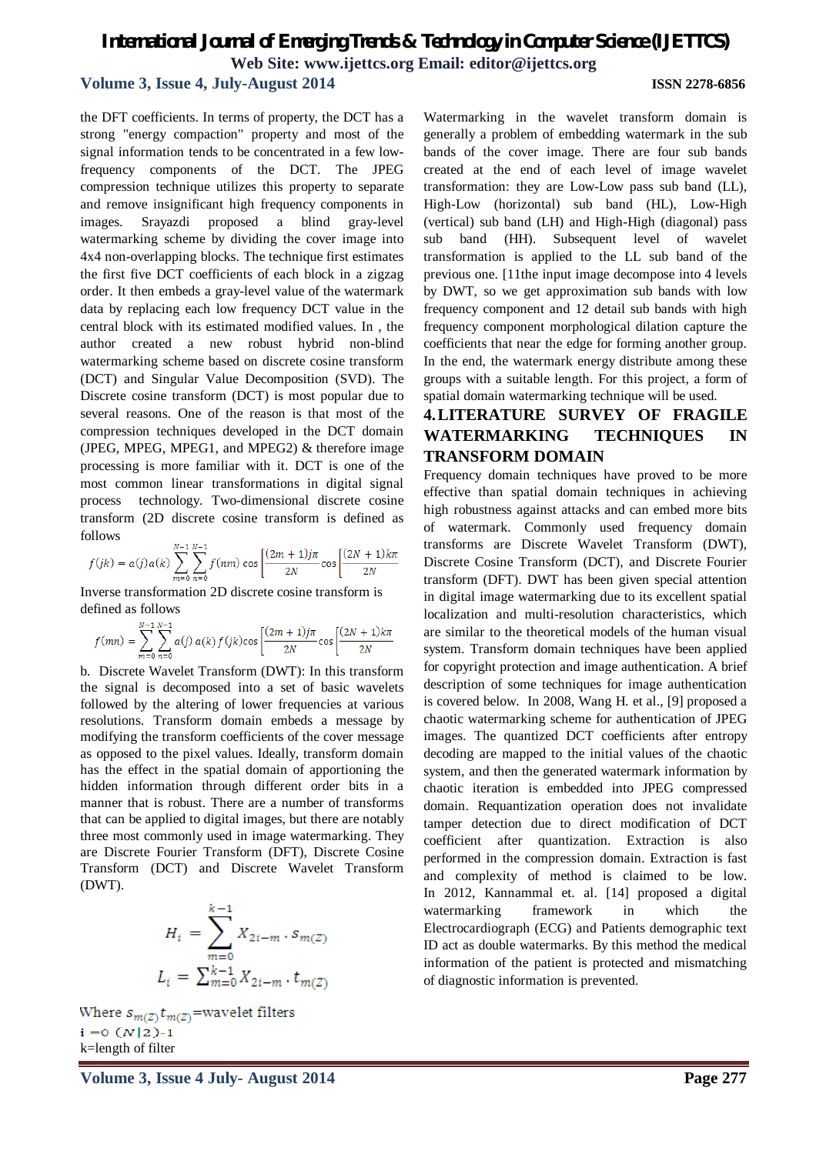# **Volume 3, Issue 4, July-August 2014 ISSN 2278-6856**

the DFT coefficients. In terms of property, the DCT has a strong "energy compaction" property and most of the signal information tends to be concentrated in a few lowfrequency components of the DCT. The JPEG compression technique utilizes this property to separate and remove insignificant high frequency components in images. Srayazdi proposed a blind gray-level watermarking scheme by dividing the cover image into 4x4 non-overlapping blocks. The technique first estimates the first five DCT coefficients of each block in a zigzag order. It then embeds a gray-level value of the watermark data by replacing each low frequency DCT value in the central block with its estimated modified values. In , the author created a new robust hybrid non-blind watermarking scheme based on discrete cosine transform (DCT) and Singular Value Decomposition (SVD). The Discrete cosine transform (DCT) is most popular due to several reasons. One of the reason is that most of the compression techniques developed in the DCT domain (JPEG, MPEG, MPEG1, and MPEG2) & therefore image processing is more familiar with it. DCT is one of the most common linear transformations in digital signal process technology. Two-dimensional discrete cosine transform (2D discrete cosine transform is defined as follows

$$
f(jk) = a(j)a(k) \sum_{m=0}^{N-1} \sum_{n=0}^{N-1} f(nm) \cos \left[ \frac{(2m+1)j\pi}{2N} \cos \left[ \frac{(2N+1)k\pi}{2N} \right] \right]
$$

Inverse transformation 2D discrete cosine transform is defined as follows

$$
f(mn) = \sum_{m=0}^{N-1} \sum_{n=0}^{N-1} a(j) a(k) f(jk) \cos \left[ \frac{(2m+1)\pi}{2N} \cos \left[ \frac{(2N+1)k\pi}{2N} \right] \right]
$$

b. Discrete Wavelet Transform (DWT): In this transform the signal is decomposed into a set of basic wavelets followed by the altering of lower frequencies at various resolutions. Transform domain embeds a message by modifying the transform coefficients of the cover message as opposed to the pixel values. Ideally, transform domain has the effect in the spatial domain of apportioning the hidden information through different order bits in a manner that is robust. There are a number of transforms that can be applied to digital images, but there are notably three most commonly used in image watermarking. They are Discrete Fourier Transform (DFT), Discrete Cosine Transform (DCT) and Discrete Wavelet Transform (DWT).

$$
H_i = \sum_{m=0}^{k-1} X_{2i-m} \cdot s_{m(Z)}
$$
  

$$
L_i = \sum_{m=0}^{k-1} X_{2i-m} \cdot t_{m(Z)}
$$

Where  $s_{m(\mathbb{Z})} t_{m(\mathbb{Z})} \text{ =}$  wavelet filters  $i = 0$   $(N|2) - 1$ k=length of filter

Watermarking in the wavelet transform domain is generally a problem of embedding watermark in the sub bands of the cover image. There are four sub bands created at the end of each level of image wavelet transformation: they are Low-Low pass sub band (LL), High-Low (horizontal) sub band (HL), Low-High (vertical) sub band (LH) and High-High (diagonal) pass sub band (HH). Subsequent level of wavelet transformation is applied to the LL sub band of the previous one. [11the input image decompose into 4 levels by DWT, so we get approximation sub bands with low frequency component and 12 detail sub bands with high frequency component morphological dilation capture the coefficients that near the edge for forming another group. In the end, the watermark energy distribute among these groups with a suitable length. For this project, a form of spatial domain watermarking technique will be used.

# **4.LITERATURE SURVEY OF FRAGILE WATERMARKING TECHNIQUES IN TRANSFORM DOMAIN**

Frequency domain techniques have proved to be more effective than spatial domain techniques in achieving high robustness against attacks and can embed more bits of watermark. Commonly used frequency domain transforms are Discrete Wavelet Transform (DWT), Discrete Cosine Transform (DCT), and Discrete Fourier transform (DFT). DWT has been given special attention in digital image watermarking due to its excellent spatial localization and multi-resolution characteristics, which are similar to the theoretical models of the human visual system. Transform domain techniques have been applied for copyright protection and image authentication. A brief description of some techniques for image authentication is covered below. In 2008, Wang H. et al., [9] proposed a chaotic watermarking scheme for authentication of JPEG images. The quantized DCT coefficients after entropy decoding are mapped to the initial values of the chaotic system, and then the generated watermark information by chaotic iteration is embedded into JPEG compressed domain. Requantization operation does not invalidate tamper detection due to direct modification of DCT coefficient after quantization. Extraction is also performed in the compression domain. Extraction is fast and complexity of method is claimed to be low. In 2012, Kannammal et. al. [14] proposed a digital watermarking framework in which the Electrocardiograph (ECG) and Patients demographic text ID act as double watermarks. By this method the medical information of the patient is protected and mismatching of diagnostic information is prevented.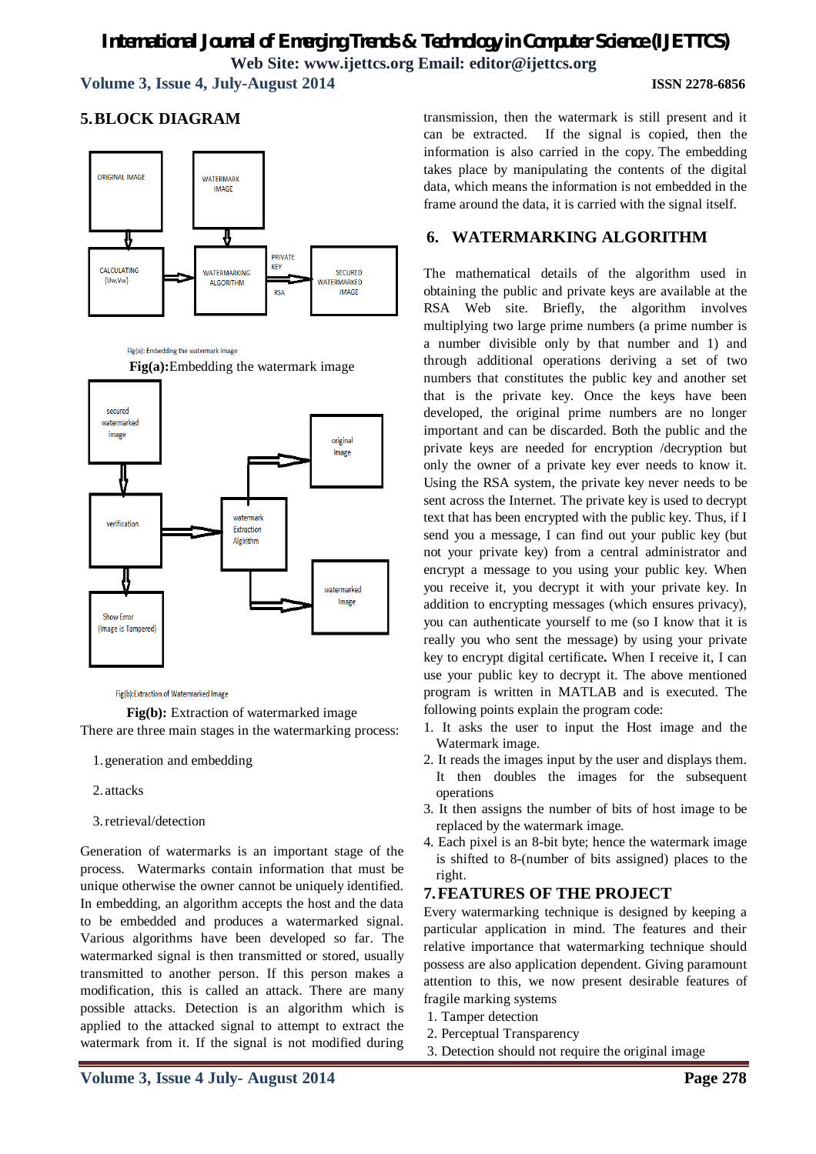**Volume 3, Issue 4, July-August 2014 ISSN 2278-6856**

**5.BLOCK DIAGRAM**



Fig(a): Embedding the watermark image





Fig(b):Extraction of Watermarked Image

**Fig(b):** Extraction of watermarked image There are three main stages in the watermarking process:

- 1. generation and embedding
- 2. attacks
- 3.retrieval/detection

Generation of watermarks is an important stage of the process. Watermarks contain information that must be unique otherwise the owner cannot be uniquely identified. In embedding, an algorithm accepts the host and the data to be embedded and produces a watermarked signal. Various algorithms have been developed so far. The watermarked signal is then transmitted or stored, usually transmitted to another person. If this person makes a modification, this is called an attack. There are many possible attacks. Detection is an algorithm which is applied to the attacked signal to attempt to extract the watermark from it. If the signal is not modified during

transmission, then the watermark is still present and it can be extracted. If the signal is copied, then the information is also carried in the copy. The embedding takes place by manipulating the contents of the digital data, which means the information is not embedded in the frame around the data, it is carried with the signal itself.

# **6. WATERMARKING ALGORITHM**

The mathematical details of the algorithm used in obtaining the public and private keys are available at the RSA Web site. Briefly, the algorithm involves multiplying two large prime numbers (a prime number is a number divisible only by that number and 1) and through additional operations deriving a set of two numbers that constitutes the public key and another set that is the private key. Once the keys have been developed, the original prime numbers are no longer important and can be discarded. Both the public and the private keys are needed for encryption /decryption but only the owner of a private key ever needs to know it. Using the RSA system, the private key never needs to be sent across the Internet. The private key is used to decrypt text that has been encrypted with the public key. Thus, if I send you a message, I can find out your public key (but not your private key) from a central administrator and encrypt a message to you using your public key. When you receive it, you decrypt it with your private key. In addition to encrypting messages (which ensures privacy), you can authenticate yourself to me (so I know that it is really you who sent the message) by using your private key to encrypt digital certificate**.** When I receive it, I can use your public key to decrypt it. The above mentioned program is written in MATLAB and is executed. The following points explain the program code:

- 1. It asks the user to input the Host image and the Watermark image.
- 2. It reads the images input by the user and displays them. It then doubles the images for the subsequent operations
- 3. It then assigns the number of bits of host image to be replaced by the watermark image.
- 4. Each pixel is an 8-bit byte; hence the watermark image is shifted to 8-(number of bits assigned) places to the right.

# **7.FEATURES OF THE PROJECT**

Every watermarking technique is designed by keeping a particular application in mind. The features and their relative importance that watermarking technique should possess are also application dependent. Giving paramount attention to this, we now present desirable features of fragile marking systems

- 1. Tamper detection
- 2. Perceptual Transparency
- 3. Detection should not require the original image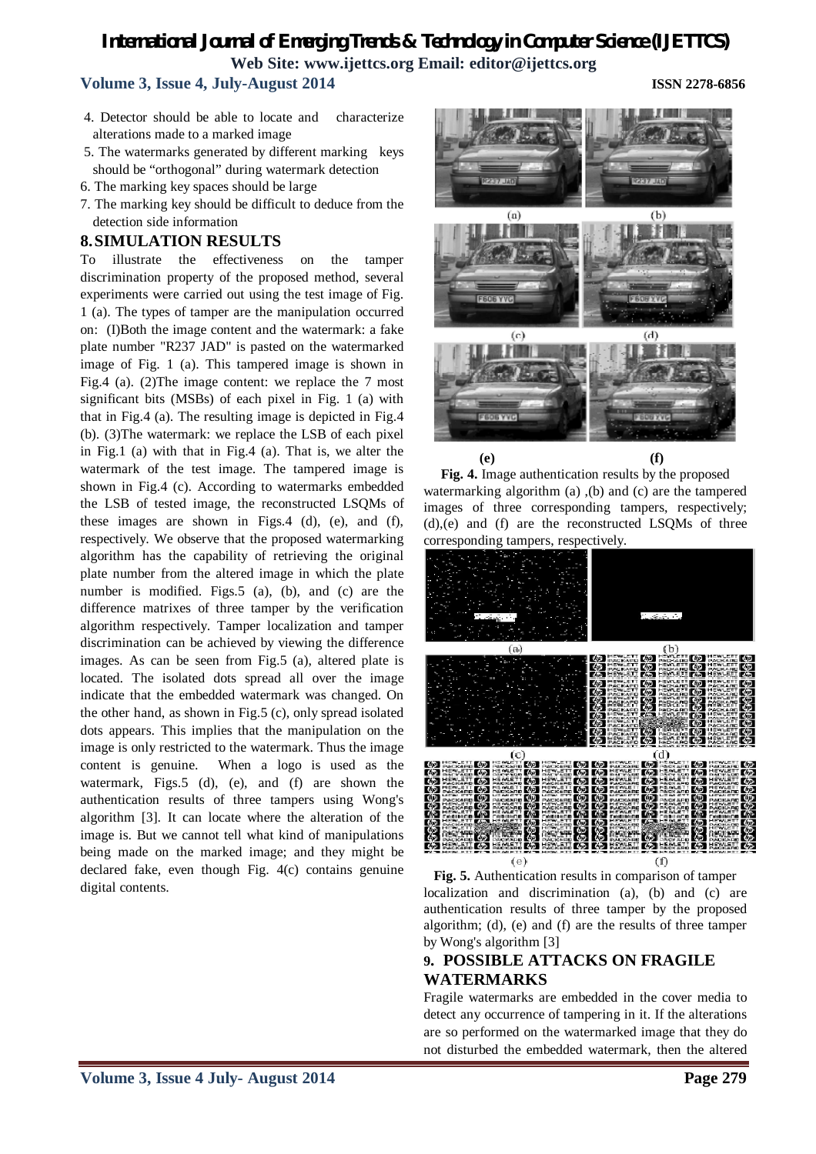# **Volume 3, Issue 4, July-August 2014 ISSN 2278-6856**

- 4. Detector should be able to locate and characterize alterations made to a marked image
- 5. The watermarks generated by different marking keys should be "orthogonal" during watermark detection
- 6. The marking key spaces should be large
- 7. The marking key should be difficult to deduce from the detection side information

# **8.SIMULATION RESULTS**

To illustrate the effectiveness on the tamper discrimination property of the proposed method, several experiments were carried out using the test image of Fig. 1 (a). The types of tamper are the manipulation occurred on: (I)Both the image content and the watermark: a fake plate number "R237 JAD" is pasted on the watermarked image of Fig. 1 (a). This tampered image is shown in Fig.4 (a). (2)The image content: we replace the 7 most significant bits (MSBs) of each pixel in Fig. 1 (a) with that in Fig.4 (a). The resulting image is depicted in Fig.4 (b). (3)The watermark: we replace the LSB of each pixel in Fig.1 (a) with that in Fig.4 (a). That is, we alter the watermark of the test image. The tampered image is shown in Fig.4 (c). According to watermarks embedded the LSB of tested image, the reconstructed LSQMs of these images are shown in Figs.4 (d), (e), and (f), respectively. We observe that the proposed watermarking algorithm has the capability of retrieving the original plate number from the altered image in which the plate number is modified. Figs.5 (a), (b), and (c) are the difference matrixes of three tamper by the verification algorithm respectively. Tamper localization and tamper discrimination can be achieved by viewing the difference images. As can be seen from Fig.5 (a), altered plate is located. The isolated dots spread all over the image indicate that the embedded watermark was changed. On the other hand, as shown in Fig.5 (c), only spread isolated dots appears. This implies that the manipulation on the image is only restricted to the watermark. Thus the image content is genuine. When a logo is used as the watermark, Figs.5 (d), (e), and (f) are shown the authentication results of three tampers using Wong's algorithm [3]. It can locate where the alteration of the image is. But we cannot tell what kind of manipulations being made on the marked image; and they might be declared fake, even though Fig. 4(c) contains genuine digital contents.



**Fig. 4.** Image authentication results by the proposed watermarking algorithm (a) ,(b) and (c) are the tampered images of three corresponding tampers, respectively; (d),(e) and (f) are the reconstructed LSQMs of three corresponding tampers, respectively.



**Fig. 5.** Authentication results in comparison of tamper localization and discrimination (a), (b) and (c) are authentication results of three tamper by the proposed algorithm; (d), (e) and (f) are the results of three tamper by Wong's algorithm [3]

## **9. POSSIBLE ATTACKS ON FRAGILE WATERMARKS**

Fragile watermarks are embedded in the cover media to detect any occurrence of tampering in it. If the alterations are so performed on the watermarked image that they do not disturbed the embedded watermark, then the altered